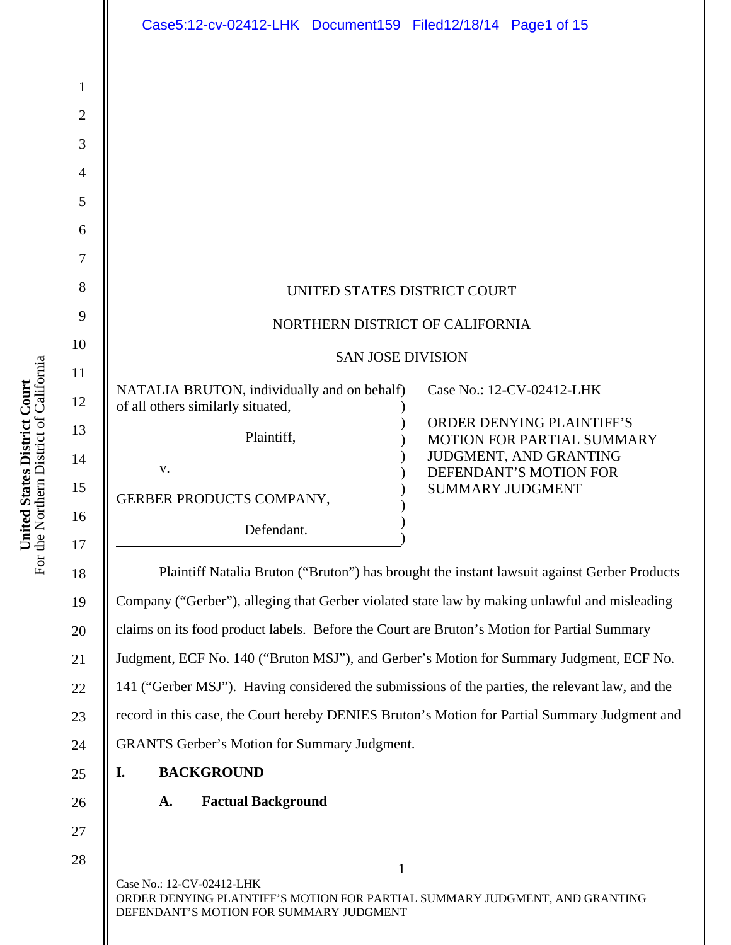|                                                                      | Case5:12-cv-02412-LHK Document159 Filed12/18/14 Page1 of 15                                                                                                                                                                                                                                                                                                                                                                                                                                                                                  |                                                                                                                                                                                                                                                                                  |
|----------------------------------------------------------------------|----------------------------------------------------------------------------------------------------------------------------------------------------------------------------------------------------------------------------------------------------------------------------------------------------------------------------------------------------------------------------------------------------------------------------------------------------------------------------------------------------------------------------------------------|----------------------------------------------------------------------------------------------------------------------------------------------------------------------------------------------------------------------------------------------------------------------------------|
| $\mathbf{1}$<br>$\overline{2}$<br>3                                  |                                                                                                                                                                                                                                                                                                                                                                                                                                                                                                                                              |                                                                                                                                                                                                                                                                                  |
| 4<br>5<br>6<br>7                                                     |                                                                                                                                                                                                                                                                                                                                                                                                                                                                                                                                              |                                                                                                                                                                                                                                                                                  |
| 8<br>9                                                               | UNITED STATES DISTRICT COURT<br>NORTHERN DISTRICT OF CALIFORNIA                                                                                                                                                                                                                                                                                                                                                                                                                                                                              |                                                                                                                                                                                                                                                                                  |
| 10                                                                   | <b>SAN JOSE DIVISION</b>                                                                                                                                                                                                                                                                                                                                                                                                                                                                                                                     |                                                                                                                                                                                                                                                                                  |
| 11<br>12<br>13<br>14<br>15<br>16<br>17<br>18<br>19<br>20<br>21<br>22 | NATALIA BRUTON, individually and on behalf)<br>of all others similarly situated,<br>Plaintiff,<br>V.<br>GERBER PRODUCTS COMPANY,<br>Defendant.<br>Company ("Gerber"), alleging that Gerber violated state law by making unlawful and misleading<br>claims on its food product labels. Before the Court are Bruton's Motion for Partial Summary<br>Judgment, ECF No. 140 ("Bruton MSJ"), and Gerber's Motion for Summary Judgment, ECF No.<br>141 ("Gerber MSJ"). Having considered the submissions of the parties, the relevant law, and the | Case No.: 12-CV-02412-LHK<br><b>ORDER DENYING PLAINTIFF'S</b><br><b>MOTION FOR PARTIAL SUMMARY</b><br>JUDGMENT, AND GRANTING<br>DEFENDANT'S MOTION FOR<br><b>SUMMARY JUDGMENT</b><br>Plaintiff Natalia Bruton ("Bruton") has brought the instant lawsuit against Gerber Products |
| 23                                                                   | record in this case, the Court hereby DENIES Bruton's Motion for Partial Summary Judgment and                                                                                                                                                                                                                                                                                                                                                                                                                                                |                                                                                                                                                                                                                                                                                  |
| 24                                                                   | <b>GRANTS Gerber's Motion for Summary Judgment.</b>                                                                                                                                                                                                                                                                                                                                                                                                                                                                                          |                                                                                                                                                                                                                                                                                  |
| 25                                                                   | <b>BACKGROUND</b><br>I.<br><b>Factual Background</b><br>A.                                                                                                                                                                                                                                                                                                                                                                                                                                                                                   |                                                                                                                                                                                                                                                                                  |
| 26<br>27                                                             |                                                                                                                                                                                                                                                                                                                                                                                                                                                                                                                                              |                                                                                                                                                                                                                                                                                  |
| 28                                                                   | $\mathbf{1}$<br>Case No.: 12-CV-02412-LHK<br>ORDER DENYING PLAINTIFF'S MOTION FOR PARTIAL SUMMARY JUDGMENT, AND GRANTING<br>DEFENDANT'S MOTION FOR SUMMARY JUDGMENT                                                                                                                                                                                                                                                                                                                                                                          |                                                                                                                                                                                                                                                                                  |

**United States District Court**<br>For the Northern District of California For the Northern District of California **United States District Court**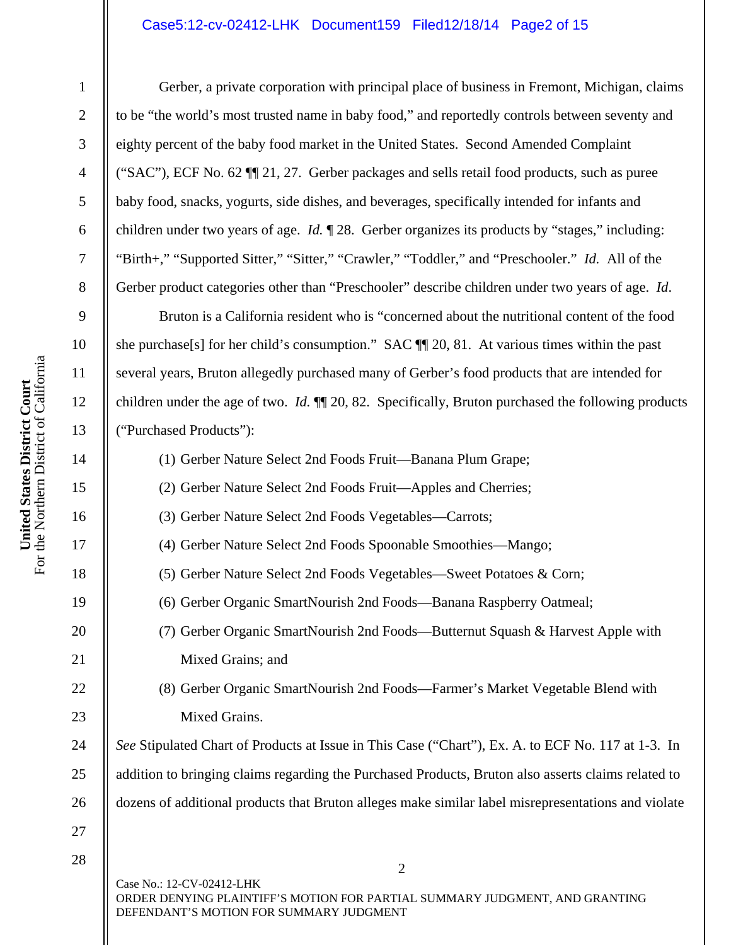## Case5:12-cv-02412-LHK Document159 Filed12/18/14 Page2 of 15

1

2

3

4

5

6

7

8

9

10

11

12

13

14

15

16

17

18

19

20

21

22

23

24

25

26

Gerber, a private corporation with principal place of business in Fremont, Michigan, claims to be "the world's most trusted name in baby food," and reportedly controls between seventy and eighty percent of the baby food market in the United States. Second Amended Complaint ("SAC"), ECF No. 62 ¶¶ 21, 27. Gerber packages and sells retail food products, such as puree baby food, snacks, yogurts, side dishes, and beverages, specifically intended for infants and children under two years of age. *Id.* ¶ 28. Gerber organizes its products by "stages," including: "Birth+," "Supported Sitter," "Sitter," "Crawler," "Toddler," and "Preschooler." *Id.* All of the Gerber product categories other than "Preschooler" describe children under two years of age. *Id*.

Bruton is a California resident who is "concerned about the nutritional content of the food she purchase[s] for her child's consumption." SAC ¶¶ 20, 81. At various times within the past several years, Bruton allegedly purchased many of Gerber's food products that are intended for children under the age of two. *Id.* ¶¶ 20, 82. Specifically, Bruton purchased the following products ("Purchased Products"):

(1) Gerber Nature Select 2nd Foods Fruit—Banana Plum Grape;

(2) Gerber Nature Select 2nd Foods Fruit—Apples and Cherries;

(3) Gerber Nature Select 2nd Foods Vegetables—Carrots;

(4) Gerber Nature Select 2nd Foods Spoonable Smoothies—Mango;

(5) Gerber Nature Select 2nd Foods Vegetables—Sweet Potatoes & Corn;

(6) Gerber Organic SmartNourish 2nd Foods—Banana Raspberry Oatmeal;

(7) Gerber Organic SmartNourish 2nd Foods—Butternut Squash & Harvest Apple with Mixed Grains; and

(8) Gerber Organic SmartNourish 2nd Foods—Farmer's Market Vegetable Blend with Mixed Grains.

*See* Stipulated Chart of Products at Issue in This Case ("Chart"), Ex. A. to ECF No. 117 at 1-3. In addition to bringing claims regarding the Purchased Products, Bruton also asserts claims related to dozens of additional products that Bruton alleges make similar label misrepresentations and violate

27 28

> Case No.: 12-CV-02412-LHK ORDER DENYING PLAINTIFF'S MOTION FOR PARTIAL SUMMARY JUDGMENT, AND GRANTING DEFENDANT'S MOTION FOR SUMMARY JUDGMENT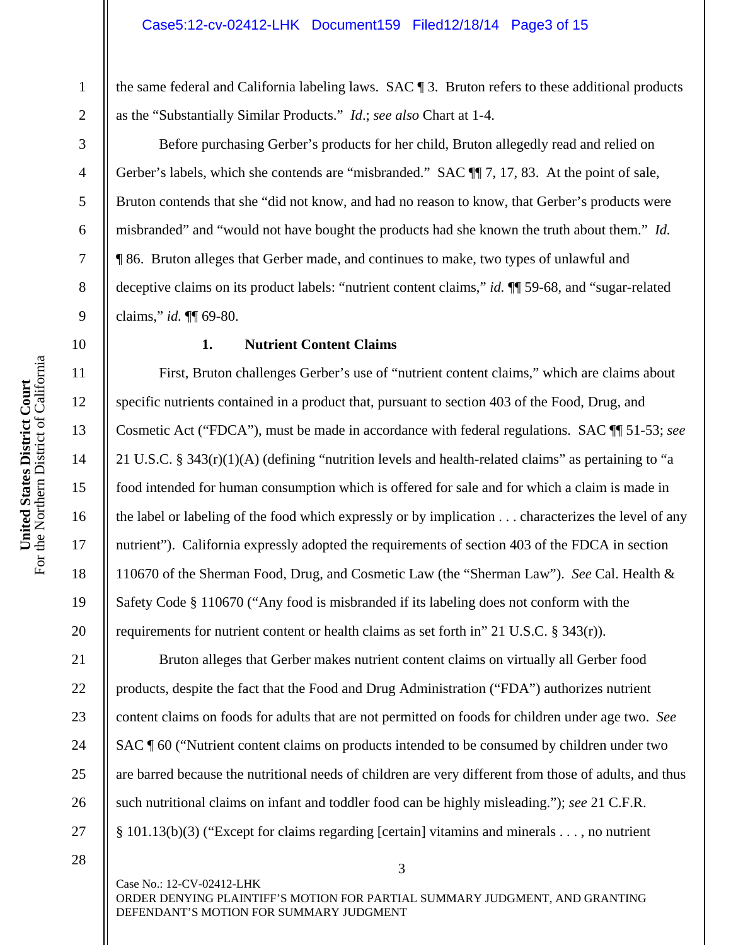the same federal and California labeling laws. SAC ¶ 3. Bruton refers to these additional products as the "Substantially Similar Products." *Id*.; *see also* Chart at 1-4.

Before purchasing Gerber's products for her child, Bruton allegedly read and relied on Gerber's labels, which she contends are "misbranded." SAC  $\P$ , 17, 83. At the point of sale, Bruton contends that she "did not know, and had no reason to know, that Gerber's products were misbranded" and "would not have bought the products had she known the truth about them." *Id.* ¶ 86. Bruton alleges that Gerber made, and continues to make, two types of unlawful and deceptive claims on its product labels: "nutrient content claims," *id.* ¶¶ 59-68, and "sugar-related claims," *id.* ¶¶ 69-80.

### **1. Nutrient Content Claims**

First, Bruton challenges Gerber's use of "nutrient content claims," which are claims about specific nutrients contained in a product that, pursuant to section 403 of the Food, Drug, and Cosmetic Act ("FDCA"), must be made in accordance with federal regulations. SAC ¶¶ 51-53; *see*  21 U.S.C. § 343(r)(1)(A) (defining "nutrition levels and health-related claims" as pertaining to "a food intended for human consumption which is offered for sale and for which a claim is made in the label or labeling of the food which expressly or by implication . . . characterizes the level of any nutrient"). California expressly adopted the requirements of section 403 of the FDCA in section 110670 of the Sherman Food, Drug, and Cosmetic Law (the "Sherman Law"). *See* Cal. Health & Safety Code § 110670 ("Any food is misbranded if its labeling does not conform with the requirements for nutrient content or health claims as set forth in" 21 U.S.C.  $\S$  343(r)).

Bruton alleges that Gerber makes nutrient content claims on virtually all Gerber food products, despite the fact that the Food and Drug Administration ("FDA") authorizes nutrient content claims on foods for adults that are not permitted on foods for children under age two. *See*  SAC ¶ 60 ("Nutrient content claims on products intended to be consumed by children under two are barred because the nutritional needs of children are very different from those of adults, and thus such nutritional claims on infant and toddler food can be highly misleading."); *see* 21 C.F.R. § 101.13(b)(3) ("Except for claims regarding [certain] vitamins and minerals . . . , no nutrient

1

2

3

4

5

6

7

8

9

10

11

12

13

14

15

16

17

18

19

20

21

22

23

24

25

26

27

28

Case No.: 12-CV-02412-LHK ORDER DENYING PLAINTIFF'S MOTION FOR PARTIAL SUMMARY JUDGMENT, AND GRANTING DEFENDANT'S MOTION FOR SUMMARY JUDGMENT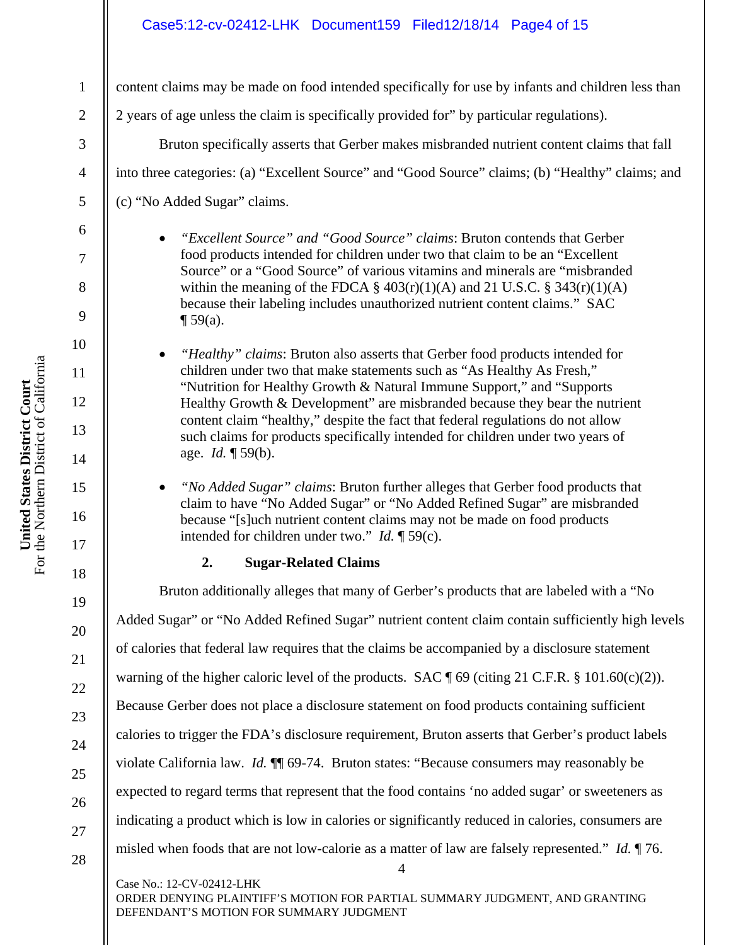### Case5:12-cv-02412-LHK Document159 Filed12/18/14 Page4 of 15

content claims may be made on food intended specifically for use by infants and children less than

2 years of age unless the claim is specifically provided for" by particular regulations).

Bruton specifically asserts that Gerber makes misbranded nutrient content claims that fall into three categories: (a) "Excellent Source" and "Good Source" claims; (b) "Healthy" claims; and (c) "No Added Sugar" claims.

- *"Excellent Source" and "Good Source" claims*: Bruton contends that Gerber food products intended for children under two that claim to be an "Excellent Source" or a "Good Source" of various vitamins and minerals are "misbranded within the meaning of the FDCA  $\S$  403(r)(1)(A) and 21 U.S.C.  $\S$  343(r)(1)(A) because their labeling includes unauthorized nutrient content claims." SAC  $\P$  59(a).
- *"Healthy" claims*: Bruton also asserts that Gerber food products intended for children under two that make statements such as "As Healthy As Fresh," "Nutrition for Healthy Growth & Natural Immune Support," and "Supports Healthy Growth & Development" are misbranded because they bear the nutrient content claim "healthy," despite the fact that federal regulations do not allow such claims for products specifically intended for children under two years of age. *Id.* ¶ 59(b).
- *"No Added Sugar" claims*: Bruton further alleges that Gerber food products that claim to have "No Added Sugar" or "No Added Refined Sugar" are misbranded because "[s]uch nutrient content claims may not be made on food products intended for children under two." *Id.* ¶ 59(c).

# **2. Sugar-Related Claims**

4 Case No.: 12-CV-02412-LHK Bruton additionally alleges that many of Gerber's products that are labeled with a "No Added Sugar" or "No Added Refined Sugar" nutrient content claim contain sufficiently high levels of calories that federal law requires that the claims be accompanied by a disclosure statement warning of the higher caloric level of the products. SAC ¶ 69 (citing 21 C.F.R. § 101.60(c)(2)). Because Gerber does not place a disclosure statement on food products containing sufficient calories to trigger the FDA's disclosure requirement, Bruton asserts that Gerber's product labels violate California law. *Id.* ¶¶ 69-74. Bruton states: "Because consumers may reasonably be expected to regard terms that represent that the food contains 'no added sugar' or sweeteners as indicating a product which is low in calories or significantly reduced in calories, consumers are misled when foods that are not low-calorie as a matter of law are falsely represented." *Id.* ¶ 76.

ORDER DENYING PLAINTIFF'S MOTION FOR PARTIAL SUMMARY JUDGMENT, AND GRANTING DEFENDANT'S MOTION FOR SUMMARY JUDGMENT

1

2

3

4

5

6

7

8

9

10

11

12

13

14

15

16

17

18

19

20

21

22

23

24

25

26

27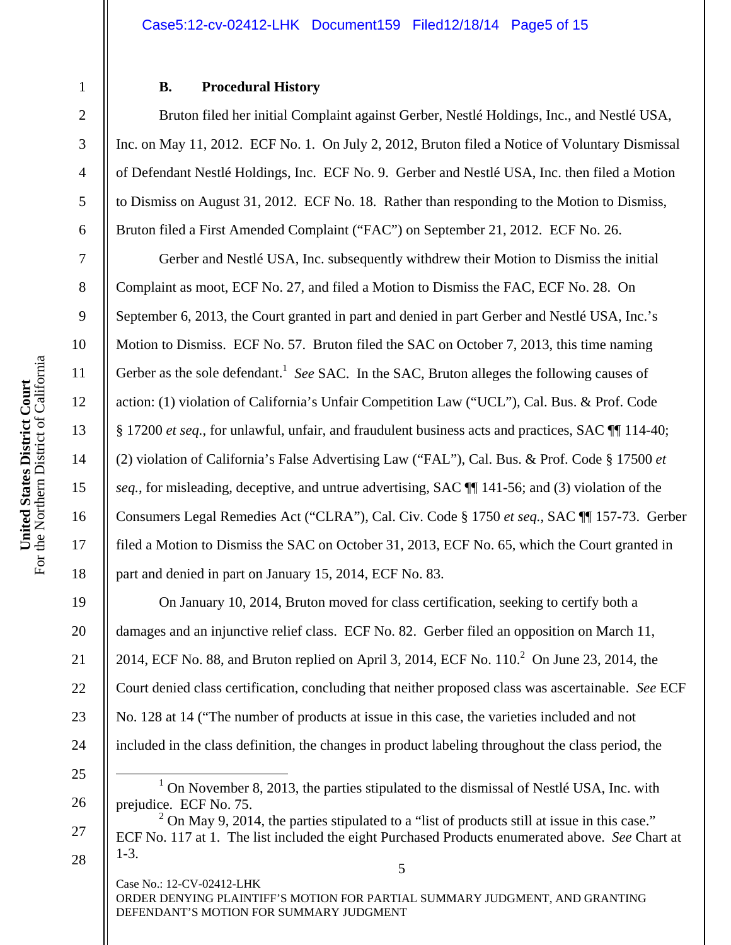#### Case5:12-cv-02412-LHK Document159 Filed12/18/14 Page5 of 15

### **B. Procedural History**

Bruton filed her initial Complaint against Gerber, Nestlé Holdings, Inc., and Nestlé USA, Inc. on May 11, 2012. ECF No. 1. On July 2, 2012, Bruton filed a Notice of Voluntary Dismissal of Defendant Nestlé Holdings, Inc. ECF No. 9. Gerber and Nestlé USA, Inc. then filed a Motion to Dismiss on August 31, 2012. ECF No. 18. Rather than responding to the Motion to Dismiss, Bruton filed a First Amended Complaint ("FAC") on September 21, 2012. ECF No. 26.

Gerber and Nestlé USA, Inc. subsequently withdrew their Motion to Dismiss the initial Complaint as moot, ECF No. 27, and filed a Motion to Dismiss the FAC, ECF No. 28. On September 6, 2013, the Court granted in part and denied in part Gerber and Nestlé USA, Inc.'s Motion to Dismiss. ECF No. 57. Bruton filed the SAC on October 7, 2013, this time naming Gerber as the sole defendant.<sup>1</sup> See SAC. In the SAC, Bruton alleges the following causes of action: (1) violation of California's Unfair Competition Law ("UCL"), Cal. Bus. & Prof. Code § 17200 *et seq.*, for unlawful, unfair, and fraudulent business acts and practices, SAC ¶¶ 114-40; (2) violation of California's False Advertising Law ("FAL"), Cal. Bus. & Prof. Code § 17500 *et seq.*, for misleading, deceptive, and untrue advertising, SAC ¶¶ 141-56; and (3) violation of the Consumers Legal Remedies Act ("CLRA"), Cal. Civ. Code § 1750 *et seq.*, SAC ¶¶ 157-73. Gerber filed a Motion to Dismiss the SAC on October 31, 2013, ECF No. 65, which the Court granted in part and denied in part on January 15, 2014, ECF No. 83.

On January 10, 2014, Bruton moved for class certification, seeking to certify both a damages and an injunctive relief class. ECF No. 82. Gerber filed an opposition on March 11, 2014, ECF No. 88, and Bruton replied on April 3, 2014, ECF No.  $110<sup>2</sup>$  On June 23, 2014, the Court denied class certification, concluding that neither proposed class was ascertainable. *See* ECF No. 128 at 14 ("The number of products at issue in this case, the varieties included and not included in the class definition, the changes in product labeling throughout the class period, the

Case No.: 12-CV-02412-LHK ORDER DENYING PLAINTIFF'S MOTION FOR PARTIAL SUMMARY JUDGMENT, AND GRANTING DEFENDANT'S MOTION FOR SUMMARY JUDGMENT

1

2

3

4

5

6

7

8

9

10

11

12

13

14

15

16

17

18

19

20

21

22

23

24

25

26

27

<sup>&</sup>lt;u>1</u>  $1$  On November 8, 2013, the parties stipulated to the dismissal of Nestlé USA, Inc. with prejudice. ECF No. 75.

<sup>5</sup>   $2$  On May 9, 2014, the parties stipulated to a "list of products still at issue in this case." ECF No. 117 at 1. The list included the eight Purchased Products enumerated above. *See* Chart at 1-3.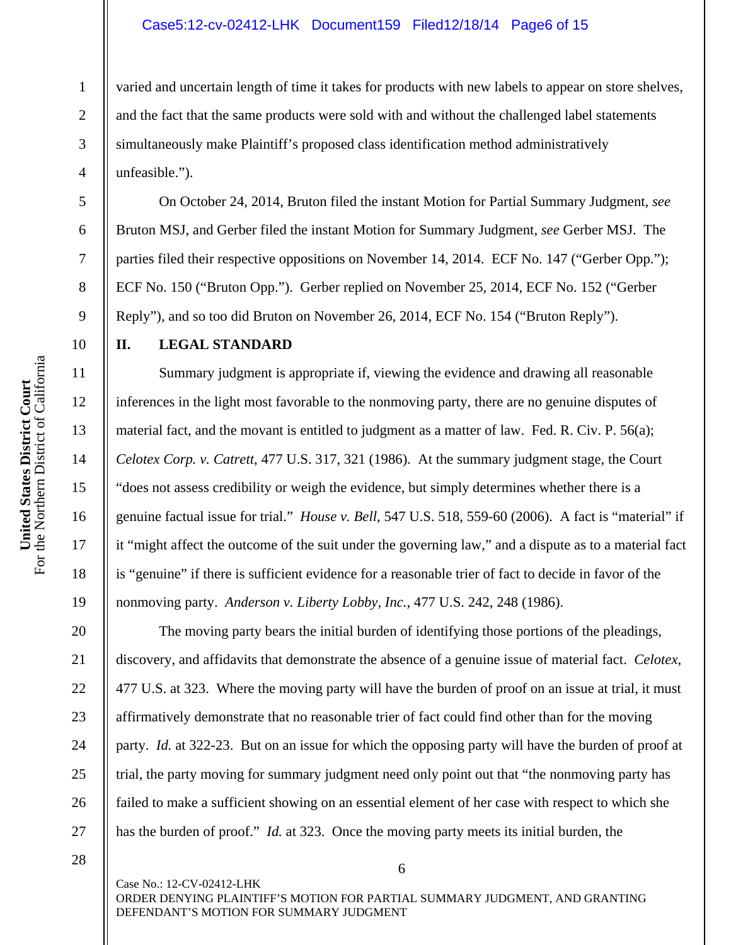#### Case5:12-cv-02412-LHK Document159 Filed12/18/14 Page6 of 15

varied and uncertain length of time it takes for products with new labels to appear on store shelves, and the fact that the same products were sold with and without the challenged label statements simultaneously make Plaintiff's proposed class identification method administratively unfeasible.").

On October 24, 2014, Bruton filed the instant Motion for Partial Summary Judgment, *see*  Bruton MSJ, and Gerber filed the instant Motion for Summary Judgment, *see* Gerber MSJ. The parties filed their respective oppositions on November 14, 2014. ECF No. 147 ("Gerber Opp."); ECF No. 150 ("Bruton Opp."). Gerber replied on November 25, 2014, ECF No. 152 ("Gerber Reply"), and so too did Bruton on November 26, 2014, ECF No. 154 ("Bruton Reply").

# **II. LEGAL STANDARD**

Summary judgment is appropriate if, viewing the evidence and drawing all reasonable inferences in the light most favorable to the nonmoving party, there are no genuine disputes of material fact, and the movant is entitled to judgment as a matter of law. Fed. R. Civ. P. 56(a); *Celotex Corp. v. Catrett*, 477 U.S. 317, 321 (1986). At the summary judgment stage, the Court "does not assess credibility or weigh the evidence, but simply determines whether there is a genuine factual issue for trial." *House v. Bell*, 547 U.S. 518, 559-60 (2006). A fact is "material" if it "might affect the outcome of the suit under the governing law," and a dispute as to a material fact is "genuine" if there is sufficient evidence for a reasonable trier of fact to decide in favor of the nonmoving party. *Anderson v. Liberty Lobby, Inc.*, 477 U.S. 242, 248 (1986).

The moving party bears the initial burden of identifying those portions of the pleadings, discovery, and affidavits that demonstrate the absence of a genuine issue of material fact. *Celotex*, 477 U.S. at 323. Where the moving party will have the burden of proof on an issue at trial, it must affirmatively demonstrate that no reasonable trier of fact could find other than for the moving party. *Id.* at 322-23. But on an issue for which the opposing party will have the burden of proof at trial, the party moving for summary judgment need only point out that "the nonmoving party has failed to make a sufficient showing on an essential element of her case with respect to which she has the burden of proof." *Id.* at 323. Once the moving party meets its initial burden, the

28

Case No.: 12-CV-02412-LHK ORDER DENYING PLAINTIFF'S MOTION FOR PARTIAL SUMMARY JUDGMENT, AND GRANTING DEFENDANT'S MOTION FOR SUMMARY JUDGMENT

6

1

2

3

4

5

6

7

8

9

10

11

12

13

14

15

16

17

18

19

20

21

22

23

24

25

26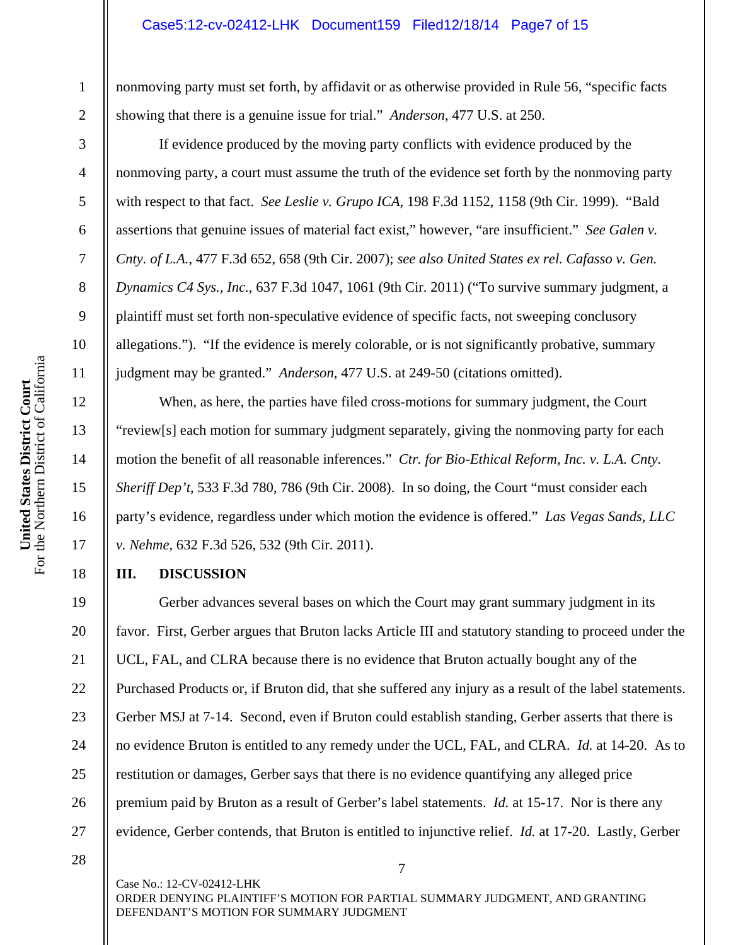#### Case5:12-cv-02412-LHK Document159 Filed12/18/14 Page7 of 15

nonmoving party must set forth, by affidavit or as otherwise provided in Rule 56, "specific facts showing that there is a genuine issue for trial." *Anderson*, 477 U.S. at 250.

If evidence produced by the moving party conflicts with evidence produced by the nonmoving party, a court must assume the truth of the evidence set forth by the nonmoving party with respect to that fact. *See Leslie v. Grupo ICA*, 198 F.3d 1152, 1158 (9th Cir. 1999). "Bald assertions that genuine issues of material fact exist," however, "are insufficient." *See Galen v. Cnty. of L.A.*, 477 F.3d 652, 658 (9th Cir. 2007); *see also United States ex rel. Cafasso v. Gen. Dynamics C4 Sys., Inc.*, 637 F.3d 1047, 1061 (9th Cir. 2011) ("To survive summary judgment, a plaintiff must set forth non-speculative evidence of specific facts, not sweeping conclusory allegations."). "If the evidence is merely colorable, or is not significantly probative, summary judgment may be granted." *Anderson*, 477 U.S. at 249-50 (citations omitted).

When, as here, the parties have filed cross-motions for summary judgment, the Court "review[s] each motion for summary judgment separately, giving the nonmoving party for each motion the benefit of all reasonable inferences." *Ctr. for Bio-Ethical Reform, Inc. v. L.A. Cnty. Sheriff Dep't*, 533 F.3d 780, 786 (9th Cir. 2008). In so doing, the Court "must consider each party's evidence, regardless under which motion the evidence is offered." *Las Vegas Sands, LLC v. Nehme*, 632 F.3d 526, 532 (9th Cir. 2011).

# **III. DISCUSSION**

Gerber advances several bases on which the Court may grant summary judgment in its favor. First, Gerber argues that Bruton lacks Article III and statutory standing to proceed under the UCL, FAL, and CLRA because there is no evidence that Bruton actually bought any of the Purchased Products or, if Bruton did, that she suffered any injury as a result of the label statements. Gerber MSJ at 7-14. Second, even if Bruton could establish standing, Gerber asserts that there is no evidence Bruton is entitled to any remedy under the UCL, FAL, and CLRA. *Id.* at 14-20. As to restitution or damages, Gerber says that there is no evidence quantifying any alleged price premium paid by Bruton as a result of Gerber's label statements. *Id.* at 15-17. Nor is there any evidence, Gerber contends, that Bruton is entitled to injunctive relief. *Id.* at 17-20. Lastly, Gerber

Case No.: 12-CV-02412-LHK ORDER DENYING PLAINTIFF'S MOTION FOR PARTIAL SUMMARY JUDGMENT, AND GRANTING DEFENDANT'S MOTION FOR SUMMARY JUDGMENT

7

1

2

3

4

5

6

7

8

9

10

11

12

13

14

15

16

17

18

19

20

21

22

23

24

25

26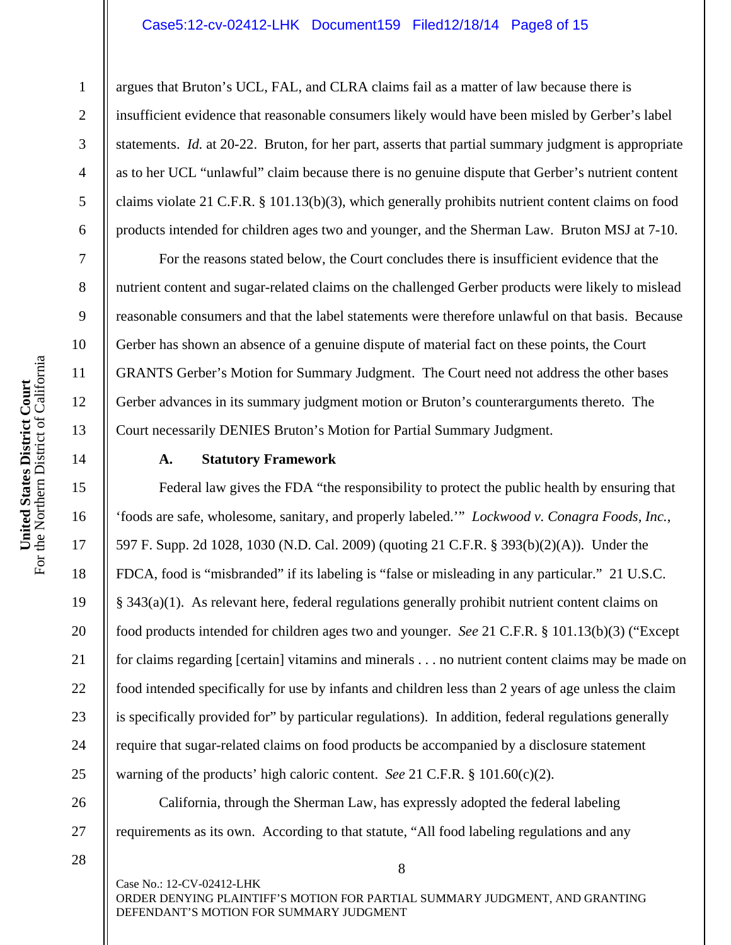#### Case5:12-cv-02412-LHK Document159 Filed12/18/14 Page8 of 15

argues that Bruton's UCL, FAL, and CLRA claims fail as a matter of law because there is insufficient evidence that reasonable consumers likely would have been misled by Gerber's label statements. *Id.* at 20-22. Bruton, for her part, asserts that partial summary judgment is appropriate as to her UCL "unlawful" claim because there is no genuine dispute that Gerber's nutrient content claims violate 21 C.F.R. § 101.13(b)(3), which generally prohibits nutrient content claims on food products intended for children ages two and younger, and the Sherman Law. Bruton MSJ at 7-10.

For the reasons stated below, the Court concludes there is insufficient evidence that the nutrient content and sugar-related claims on the challenged Gerber products were likely to mislead reasonable consumers and that the label statements were therefore unlawful on that basis. Because Gerber has shown an absence of a genuine dispute of material fact on these points, the Court GRANTS Gerber's Motion for Summary Judgment. The Court need not address the other bases Gerber advances in its summary judgment motion or Bruton's counterarguments thereto. The Court necessarily DENIES Bruton's Motion for Partial Summary Judgment.

### **A. Statutory Framework**

Federal law gives the FDA "the responsibility to protect the public health by ensuring that 'foods are safe, wholesome, sanitary, and properly labeled.'" *Lockwood v. Conagra Foods, Inc.*, 597 F. Supp. 2d 1028, 1030 (N.D. Cal. 2009) (quoting 21 C.F.R. § 393(b)(2)(A)). Under the FDCA, food is "misbranded" if its labeling is "false or misleading in any particular." 21 U.S.C. § 343(a)(1). As relevant here, federal regulations generally prohibit nutrient content claims on food products intended for children ages two and younger. *See* 21 C.F.R. § 101.13(b)(3) ("Except for claims regarding [certain] vitamins and minerals . . . no nutrient content claims may be made on food intended specifically for use by infants and children less than 2 years of age unless the claim is specifically provided for" by particular regulations). In addition, federal regulations generally require that sugar-related claims on food products be accompanied by a disclosure statement warning of the products' high caloric content. *See* 21 C.F.R. § 101.60(c)(2).

California, through the Sherman Law, has expressly adopted the federal labeling requirements as its own. According to that statute, "All food labeling regulations and any

28

Case No.: 12-CV-02412-LHK ORDER DENYING PLAINTIFF'S MOTION FOR PARTIAL SUMMARY JUDGMENT, AND GRANTING DEFENDANT'S MOTION FOR SUMMARY JUDGMENT

8

1

2

3

4

5

6

7

8

9

10

11

12

13

14

15

16

17

18

19

20

21

22

23

24

25

26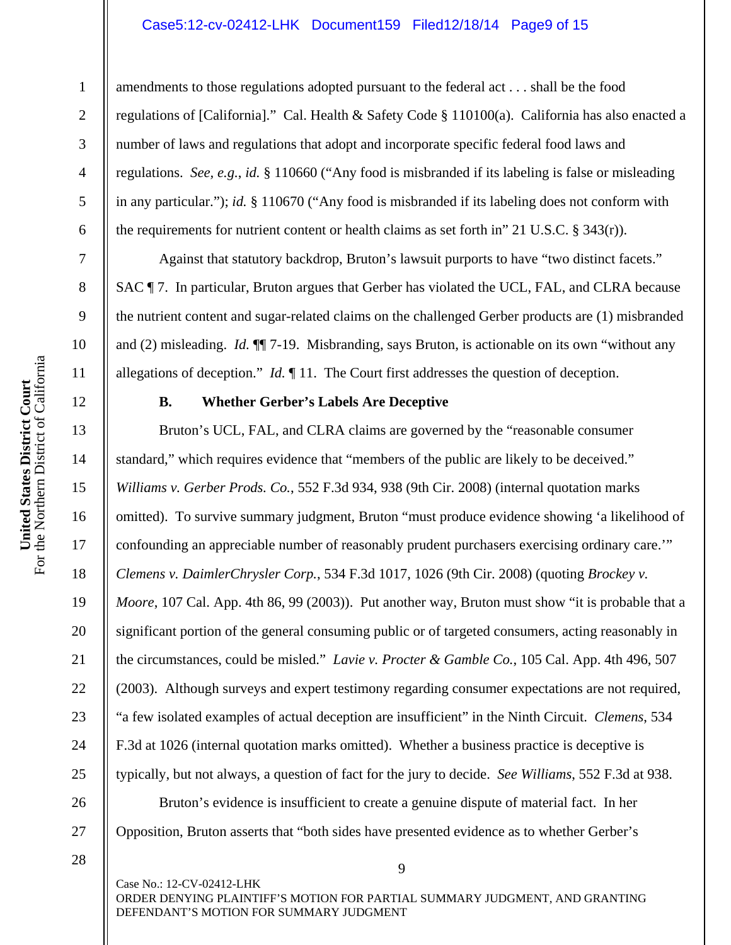### Case5:12-cv-02412-LHK Document159 Filed12/18/14 Page9 of 15

amendments to those regulations adopted pursuant to the federal act . . . shall be the food regulations of [California]." Cal. Health & Safety Code § 110100(a). California has also enacted a number of laws and regulations that adopt and incorporate specific federal food laws and regulations. *See, e.g.*, *id.* § 110660 ("Any food is misbranded if its labeling is false or misleading in any particular."); *id.* § 110670 ("Any food is misbranded if its labeling does not conform with the requirements for nutrient content or health claims as set forth in" 21 U.S.C. § 343(r)).

Against that statutory backdrop, Bruton's lawsuit purports to have "two distinct facets." SAC  $\P$  7. In particular, Bruton argues that Gerber has violated the UCL, FAL, and CLRA because the nutrient content and sugar-related claims on the challenged Gerber products are (1) misbranded and (2) misleading. *Id.* ¶¶ 7-19. Misbranding, says Bruton, is actionable on its own "without any allegations of deception." *Id.* ¶ 11. The Court first addresses the question of deception.

# **B. Whether Gerber's Labels Are Deceptive**

Bruton's UCL, FAL, and CLRA claims are governed by the "reasonable consumer standard," which requires evidence that "members of the public are likely to be deceived." *Williams v. Gerber Prods. Co.*, 552 F.3d 934, 938 (9th Cir. 2008) (internal quotation marks omitted). To survive summary judgment, Bruton "must produce evidence showing 'a likelihood of confounding an appreciable number of reasonably prudent purchasers exercising ordinary care.'" *Clemens v. DaimlerChrysler Corp.*, 534 F.3d 1017, 1026 (9th Cir. 2008) (quoting *Brockey v. Moore*, 107 Cal. App. 4th 86, 99 (2003)). Put another way, Bruton must show "it is probable that a significant portion of the general consuming public or of targeted consumers, acting reasonably in the circumstances, could be misled." *Lavie v. Procter & Gamble Co.*, 105 Cal. App. 4th 496, 507 (2003). Although surveys and expert testimony regarding consumer expectations are not required, "a few isolated examples of actual deception are insufficient" in the Ninth Circuit. *Clemens*, 534 F.3d at 1026 (internal quotation marks omitted). Whether a business practice is deceptive is typically, but not always, a question of fact for the jury to decide. *See Williams*, 552 F.3d at 938.

Bruton's evidence is insufficient to create a genuine dispute of material fact. In her Opposition, Bruton asserts that "both sides have presented evidence as to whether Gerber's

28

Case No.: 12-CV-02412-LHK ORDER DENYING PLAINTIFF'S MOTION FOR PARTIAL SUMMARY JUDGMENT, AND GRANTING DEFENDANT'S MOTION FOR SUMMARY JUDGMENT

9

1

2

3

4

5

6

7

8

9

10

11

12

13

14

15

16

17

18

19

20

21

22

23

24

25

26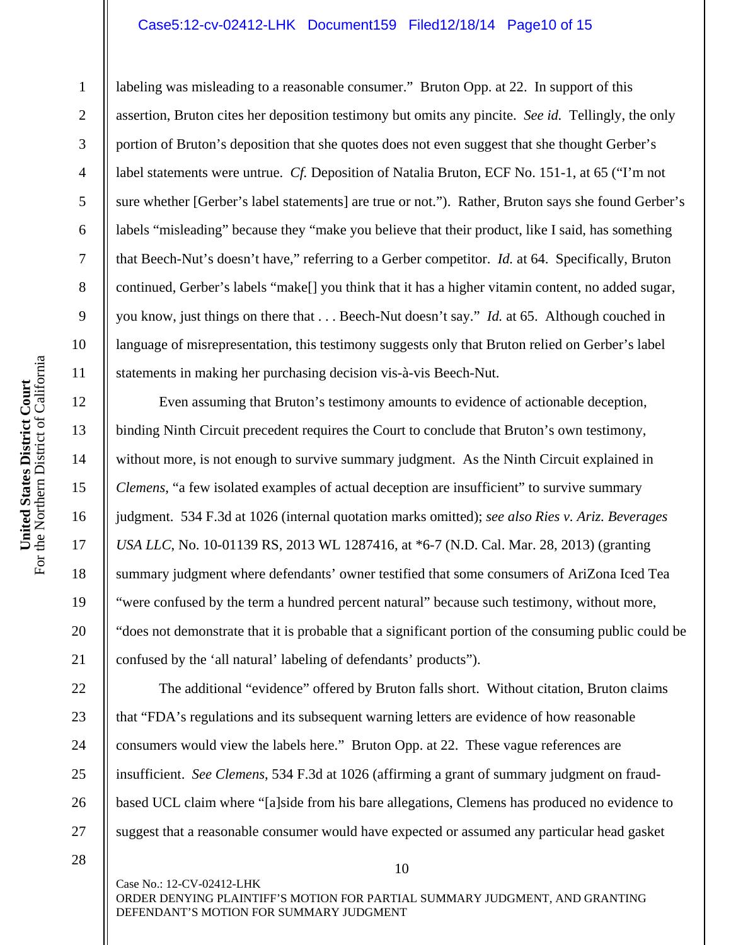# Case5:12-cv-02412-LHK Document159 Filed12/18/14 Page10 of 15

labeling was misleading to a reasonable consumer." Bruton Opp. at 22. In support of this assertion, Bruton cites her deposition testimony but omits any pincite. *See id.* Tellingly, the only portion of Bruton's deposition that she quotes does not even suggest that she thought Gerber's label statements were untrue. *Cf.* Deposition of Natalia Bruton, ECF No. 151-1, at 65 ("I'm not sure whether [Gerber's label statements] are true or not."). Rather, Bruton says she found Gerber's labels "misleading" because they "make you believe that their product, like I said, has something that Beech-Nut's doesn't have," referring to a Gerber competitor. *Id.* at 64. Specifically, Bruton continued, Gerber's labels "make[] you think that it has a higher vitamin content, no added sugar, you know, just things on there that . . . Beech-Nut doesn't say." *Id.* at 65. Although couched in language of misrepresentation, this testimony suggests only that Bruton relied on Gerber's label statements in making her purchasing decision vis-à-vis Beech-Nut.

Even assuming that Bruton's testimony amounts to evidence of actionable deception, binding Ninth Circuit precedent requires the Court to conclude that Bruton's own testimony, without more, is not enough to survive summary judgment. As the Ninth Circuit explained in *Clemens*, "a few isolated examples of actual deception are insufficient" to survive summary judgment. 534 F.3d at 1026 (internal quotation marks omitted); *see also Ries v. Ariz. Beverages USA LLC*, No. 10-01139 RS, 2013 WL 1287416, at \*6-7 (N.D. Cal. Mar. 28, 2013) (granting summary judgment where defendants' owner testified that some consumers of AriZona Iced Tea "were confused by the term a hundred percent natural" because such testimony, without more, "does not demonstrate that it is probable that a significant portion of the consuming public could be confused by the 'all natural' labeling of defendants' products").

The additional "evidence" offered by Bruton falls short. Without citation, Bruton claims that "FDA's regulations and its subsequent warning letters are evidence of how reasonable consumers would view the labels here." Bruton Opp. at 22. These vague references are insufficient. *See Clemens*, 534 F.3d at 1026 (affirming a grant of summary judgment on fraudbased UCL claim where "[a]side from his bare allegations, Clemens has produced no evidence to suggest that a reasonable consumer would have expected or assumed any particular head gasket

28

Case No.: 12-CV-02412-LHK ORDER DENYING PLAINTIFF'S MOTION FOR PARTIAL SUMMARY JUDGMENT, AND GRANTING DEFENDANT'S MOTION FOR SUMMARY JUDGMENT

10

1

2

3

4

5

6

7

8

9

10

11

12

13

14

15

16

17

18

19

20

21

22

23

24

25

26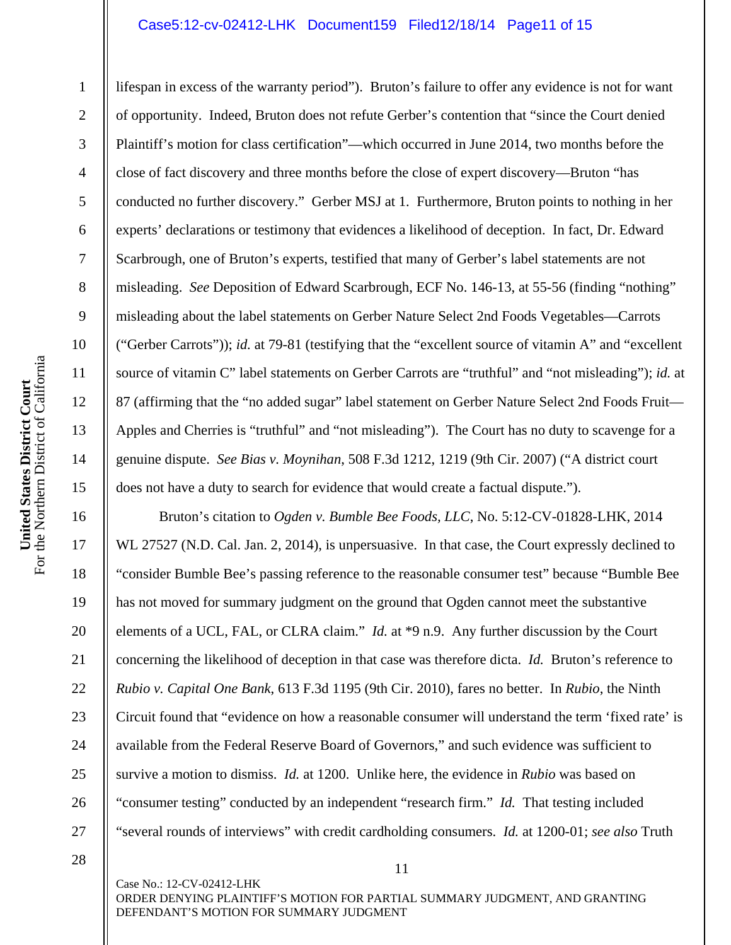#### Case5:12-cv-02412-LHK Document159 Filed12/18/14 Page11 of 15

lifespan in excess of the warranty period"). Bruton's failure to offer any evidence is not for want of opportunity. Indeed, Bruton does not refute Gerber's contention that "since the Court denied Plaintiff's motion for class certification"—which occurred in June 2014, two months before the close of fact discovery and three months before the close of expert discovery—Bruton "has conducted no further discovery." Gerber MSJ at 1. Furthermore, Bruton points to nothing in her experts' declarations or testimony that evidences a likelihood of deception. In fact, Dr. Edward Scarbrough, one of Bruton's experts, testified that many of Gerber's label statements are not misleading. *See* Deposition of Edward Scarbrough, ECF No. 146-13, at 55-56 (finding "nothing" misleading about the label statements on Gerber Nature Select 2nd Foods Vegetables—Carrots ("Gerber Carrots")); *id.* at 79-81 (testifying that the "excellent source of vitamin A" and "excellent source of vitamin C" label statements on Gerber Carrots are "truthful" and "not misleading"); *id.* at 87 (affirming that the "no added sugar" label statement on Gerber Nature Select 2nd Foods Fruit— Apples and Cherries is "truthful" and "not misleading"). The Court has no duty to scavenge for a genuine dispute. *See Bias v. Moynihan*, 508 F.3d 1212, 1219 (9th Cir. 2007) ("A district court does not have a duty to search for evidence that would create a factual dispute.").

Bruton's citation to *Ogden v. Bumble Bee Foods, LLC*, No. 5:12-CV-01828-LHK, 2014 WL 27527 (N.D. Cal. Jan. 2, 2014), is unpersuasive. In that case, the Court expressly declined to "consider Bumble Bee's passing reference to the reasonable consumer test" because "Bumble Bee has not moved for summary judgment on the ground that Ogden cannot meet the substantive elements of a UCL, FAL, or CLRA claim." *Id.* at \*9 n.9. Any further discussion by the Court concerning the likelihood of deception in that case was therefore dicta. *Id.* Bruton's reference to *Rubio v. Capital One Bank*, 613 F.3d 1195 (9th Cir. 2010), fares no better. In *Rubio*, the Ninth Circuit found that "evidence on how a reasonable consumer will understand the term 'fixed rate' is available from the Federal Reserve Board of Governors," and such evidence was sufficient to survive a motion to dismiss. *Id.* at 1200. Unlike here, the evidence in *Rubio* was based on "consumer testing" conducted by an independent "research firm." *Id.* That testing included "several rounds of interviews" with credit cardholding consumers. *Id.* at 1200-01; *see also* Truth

Case No.: 12-CV-02412-LHK ORDER DENYING PLAINTIFF'S MOTION FOR PARTIAL SUMMARY JUDGMENT, AND GRANTING DEFENDANT'S MOTION FOR SUMMARY JUDGMENT

11

1

2

3

4

5

6

7

8

9

10

11

12

13

14

15

16

17

18

19

20

21

22

23

24

25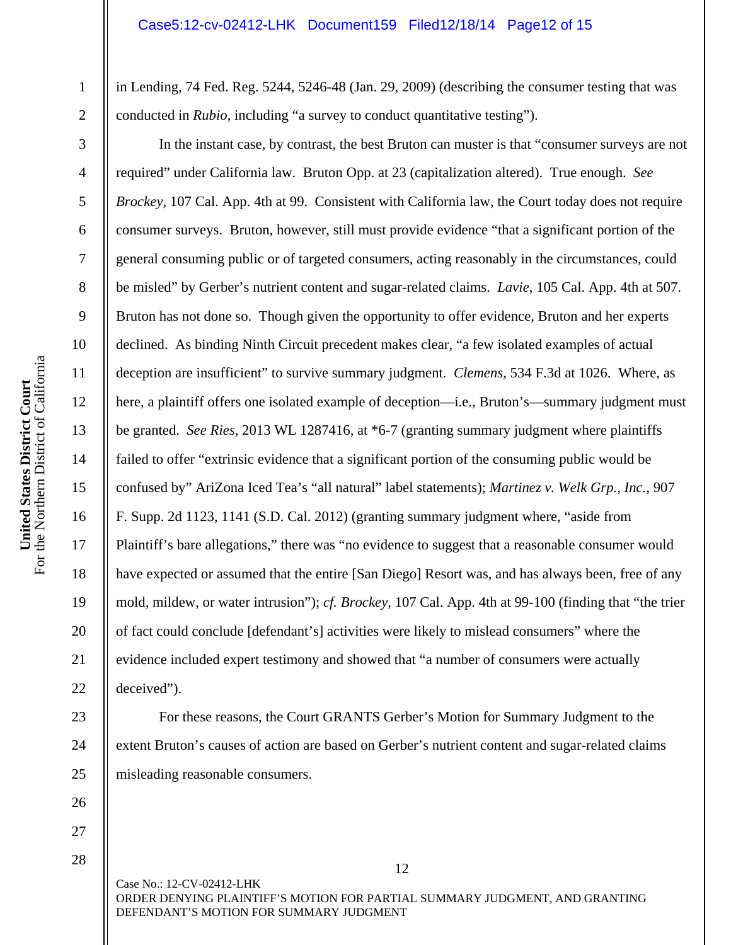in Lending, 74 Fed. Reg. 5244, 5246-48 (Jan. 29, 2009) (describing the consumer testing that was conducted in *Rubio*, including "a survey to conduct quantitative testing").

In the instant case, by contrast, the best Bruton can muster is that "consumer surveys are not required" under California law. Bruton Opp. at 23 (capitalization altered). True enough. *See Brockey*, 107 Cal. App. 4th at 99. Consistent with California law, the Court today does not require consumer surveys. Bruton, however, still must provide evidence "that a significant portion of the general consuming public or of targeted consumers, acting reasonably in the circumstances, could be misled" by Gerber's nutrient content and sugar-related claims. *Lavie*, 105 Cal. App. 4th at 507. Bruton has not done so. Though given the opportunity to offer evidence, Bruton and her experts declined. As binding Ninth Circuit precedent makes clear, "a few isolated examples of actual deception are insufficient" to survive summary judgment. *Clemens*, 534 F.3d at 1026. Where, as here, a plaintiff offers one isolated example of deception—i.e., Bruton's—summary judgment must be granted. *See Ries*, 2013 WL 1287416, at \*6-7 (granting summary judgment where plaintiffs failed to offer "extrinsic evidence that a significant portion of the consuming public would be confused by" AriZona Iced Tea's "all natural" label statements); *Martinez v. Welk Grp., Inc.*, 907 F. Supp. 2d 1123, 1141 (S.D. Cal. 2012) (granting summary judgment where, "aside from Plaintiff's bare allegations," there was "no evidence to suggest that a reasonable consumer would have expected or assumed that the entire [San Diego] Resort was, and has always been, free of any mold, mildew, or water intrusion"); *cf. Brockey*, 107 Cal. App. 4th at 99-100 (finding that "the trier of fact could conclude [defendant's] activities were likely to mislead consumers" where the evidence included expert testimony and showed that "a number of consumers were actually deceived").

For these reasons, the Court GRANTS Gerber's Motion for Summary Judgment to the extent Bruton's causes of action are based on Gerber's nutrient content and sugar-related claims misleading reasonable consumers.

12 Case No.: 12-CV-02412-LHK ORDER DENYING PLAINTIFF'S MOTION FOR PARTIAL SUMMARY JUDGMENT, AND GRANTING DEFENDANT'S MOTION FOR SUMMARY JUDGMENT

1

2

3

4

5

6

7

8

9

10

11

12

13

14

15

16

17

18

19

20

21

22

23

24

25

26 27 28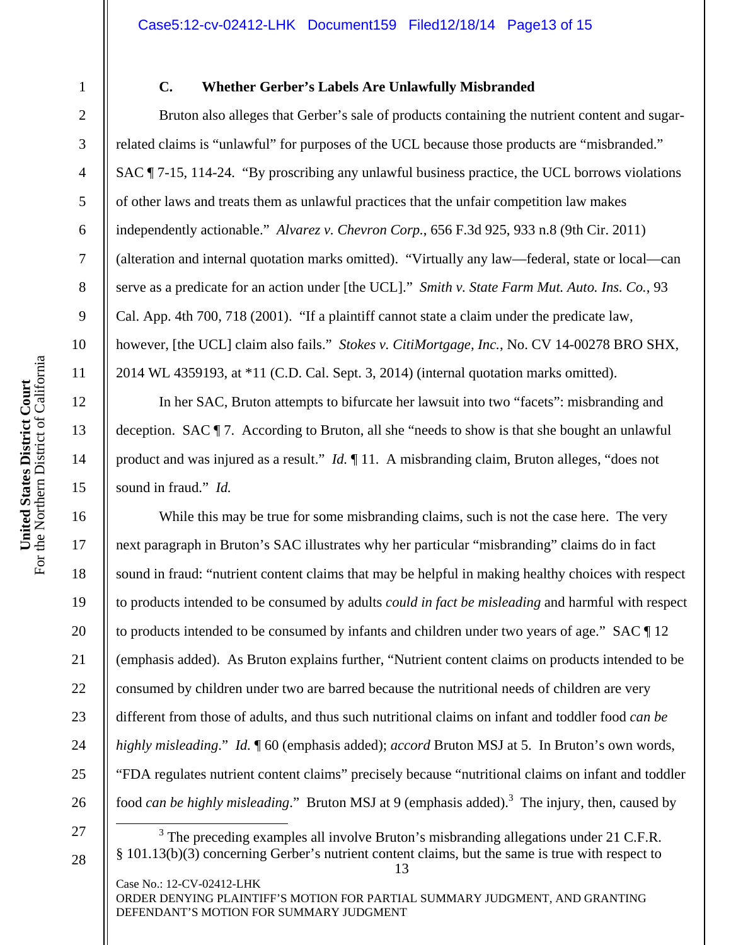1

2

3

4

5

6

7

8

9

10

11

12

13

14

15

16

17

18

19

20

21

22

23

24

25

26

27

28

# **C. Whether Gerber's Labels Are Unlawfully Misbranded**

Bruton also alleges that Gerber's sale of products containing the nutrient content and sugarrelated claims is "unlawful" for purposes of the UCL because those products are "misbranded." SAC ¶ 7-15, 114-24. "By proscribing any unlawful business practice, the UCL borrows violations of other laws and treats them as unlawful practices that the unfair competition law makes independently actionable." *Alvarez v. Chevron Corp.*, 656 F.3d 925, 933 n.8 (9th Cir. 2011) (alteration and internal quotation marks omitted). "Virtually any law—federal, state or local—can serve as a predicate for an action under [the UCL]." *Smith v. State Farm Mut. Auto. Ins. Co.*, 93 Cal. App. 4th 700, 718 (2001). "If a plaintiff cannot state a claim under the predicate law, however, [the UCL] claim also fails." *Stokes v. CitiMortgage, Inc.*, No. CV 14-00278 BRO SHX, 2014 WL 4359193, at \*11 (C.D. Cal. Sept. 3, 2014) (internal quotation marks omitted).

In her SAC, Bruton attempts to bifurcate her lawsuit into two "facets": misbranding and deception. SAC ¶ 7. According to Bruton, all she "needs to show is that she bought an unlawful product and was injured as a result." *Id.* ¶ 11. A misbranding claim, Bruton alleges, "does not sound in fraud." *Id.*

While this may be true for some misbranding claims, such is not the case here. The very next paragraph in Bruton's SAC illustrates why her particular "misbranding" claims do in fact sound in fraud: "nutrient content claims that may be helpful in making healthy choices with respect to products intended to be consumed by adults *could in fact be misleading* and harmful with respect to products intended to be consumed by infants and children under two years of age." SAC ¶ 12 (emphasis added). As Bruton explains further, "Nutrient content claims on products intended to be consumed by children under two are barred because the nutritional needs of children are very different from those of adults, and thus such nutritional claims on infant and toddler food *can be highly misleading*." *Id.* ¶ 60 (emphasis added); *accord* Bruton MSJ at 5. In Bruton's own words, "FDA regulates nutrient content claims" precisely because "nutritional claims on infant and toddler food *can be highly misleading*." Bruton MSJ at 9 (emphasis added).<sup>3</sup> The injury, then, caused by

13  $\frac{1}{3}$  $3$  The preceding examples all involve Bruton's misbranding allegations under 21 C.F.R. § 101.13(b)(3) concerning Gerber's nutrient content claims, but the same is true with respect to

Case No.: 12-CV-02412-LHK ORDER DENYING PLAINTIFF'S MOTION FOR PARTIAL SUMMARY JUDGMENT, AND GRANTING DEFENDANT'S MOTION FOR SUMMARY JUDGMENT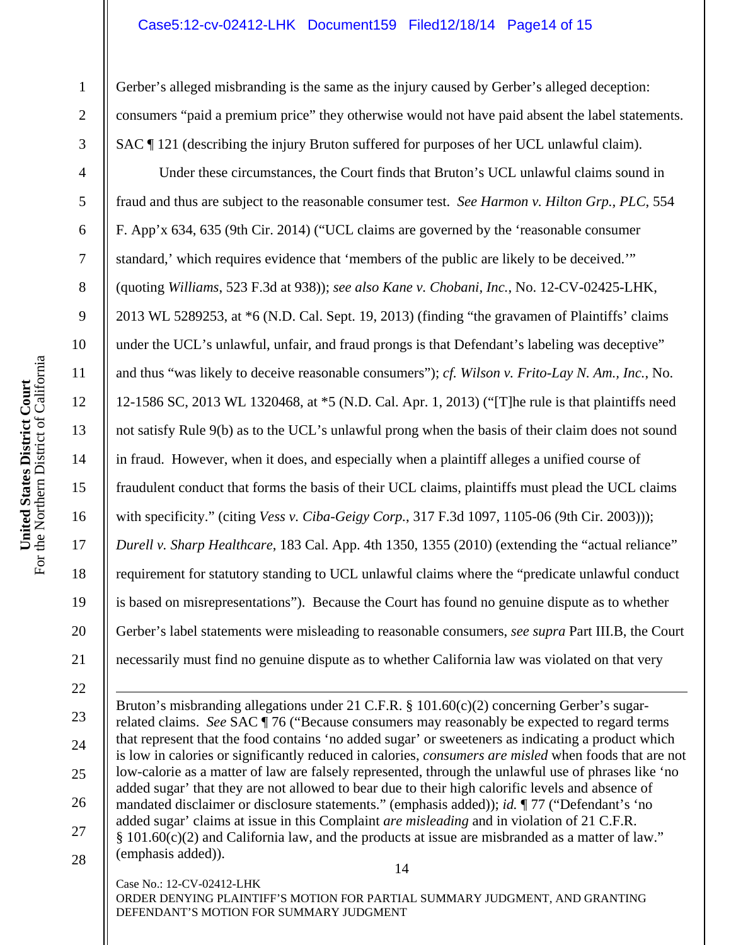# Case5:12-cv-02412-LHK Document159 Filed12/18/14 Page14 of 15

Gerber's alleged misbranding is the same as the injury caused by Gerber's alleged deception: consumers "paid a premium price" they otherwise would not have paid absent the label statements. SAC ¶ 121 (describing the injury Bruton suffered for purposes of her UCL unlawful claim).

Under these circumstances, the Court finds that Bruton's UCL unlawful claims sound in fraud and thus are subject to the reasonable consumer test. *See Harmon v. Hilton Grp., PLC*, 554 F. App'x 634, 635 (9th Cir. 2014) ("UCL claims are governed by the 'reasonable consumer standard,' which requires evidence that 'members of the public are likely to be deceived.'" (quoting *Williams*, 523 F.3d at 938)); *see also Kane v. Chobani, Inc.*, No. 12-CV-02425-LHK, 2013 WL 5289253, at \*6 (N.D. Cal. Sept. 19, 2013) (finding "the gravamen of Plaintiffs' claims under the UCL's unlawful, unfair, and fraud prongs is that Defendant's labeling was deceptive" and thus "was likely to deceive reasonable consumers"); *cf. Wilson v. Frito-Lay N. Am., Inc.*, No. 12-1586 SC, 2013 WL 1320468, at \*5 (N.D. Cal. Apr. 1, 2013) ("[T]he rule is that plaintiffs need not satisfy Rule 9(b) as to the UCL's unlawful prong when the basis of their claim does not sound in fraud. However, when it does, and especially when a plaintiff alleges a unified course of fraudulent conduct that forms the basis of their UCL claims, plaintiffs must plead the UCL claims with specificity." (citing *Vess v. Ciba-Geigy Corp.*, 317 F.3d 1097, 1105-06 (9th Cir. 2003))); *Durell v. Sharp Healthcare*, 183 Cal. App. 4th 1350, 1355 (2010) (extending the "actual reliance" requirement for statutory standing to UCL unlawful claims where the "predicate unlawful conduct is based on misrepresentations"). Because the Court has found no genuine dispute as to whether Gerber's label statements were misleading to reasonable consumers, *see supra* Part III.B, the Court necessarily must find no genuine dispute as to whether California law was violated on that very

14 Bruton's misbranding allegations under 21 C.F.R. § 101.60(c)(2) concerning Gerber's sugarrelated claims. *See* SAC ¶ 76 ("Because consumers may reasonably be expected to regard terms that represent that the food contains 'no added sugar' or sweeteners as indicating a product which is low in calories or significantly reduced in calories, *consumers are misled* when foods that are not low-calorie as a matter of law are falsely represented, through the unlawful use of phrases like 'no added sugar' that they are not allowed to bear due to their high calorific levels and absence of mandated disclaimer or disclosure statements." (emphasis added)); *id.* ¶ 77 ("Defendant's 'no added sugar' claims at issue in this Complaint *are misleading* and in violation of 21 C.F.R.  $§ 101.60(c)(2)$  and California law, and the products at issue are misbranded as a matter of law." (emphasis added)).

Case No.: 12-CV-02412-LHK ORDER DENYING PLAINTIFF'S MOTION FOR PARTIAL SUMMARY JUDGMENT, AND GRANTING DEFENDANT'S MOTION FOR SUMMARY JUDGMENT

1

2

3

4

5

6

7

8

9

10

11

12

13

14

15

16

17

18

19

20

21

22

 $\overline{a}$ 

23

24

25

26

27